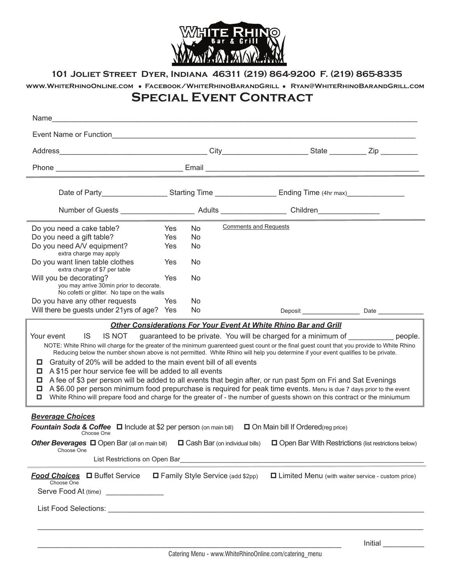

**101 Joliet Street Dyer, Indiana 46311 (219) 864-9200 F. (219) 865-8335**

## **www.WhiteRhinoOnline.com** l **Facebook/WhiteRhinoBarandGrill** l **Ryan@WhiteRhinoBarandGrill.com**

## **Special Event Contract**

| Name                                                                                                                                                                                                                                                                                                                                                                                                                                                                                                                                                                                                                                                                                                                                                                                                                                                                                                                                                                                 |            |     |                                         |                                                                                                               |                                                     |
|--------------------------------------------------------------------------------------------------------------------------------------------------------------------------------------------------------------------------------------------------------------------------------------------------------------------------------------------------------------------------------------------------------------------------------------------------------------------------------------------------------------------------------------------------------------------------------------------------------------------------------------------------------------------------------------------------------------------------------------------------------------------------------------------------------------------------------------------------------------------------------------------------------------------------------------------------------------------------------------|------------|-----|-----------------------------------------|---------------------------------------------------------------------------------------------------------------|-----------------------------------------------------|
| Event Name or Function <b>Example 2018</b> Contact the Contract of Terms and Terms and Terms and Terms and Terms and Terms and Terms and Terms and Terms and Terms and Terms and Terms and Terms and Terms and Terms and Terms and                                                                                                                                                                                                                                                                                                                                                                                                                                                                                                                                                                                                                                                                                                                                                   |            |     |                                         |                                                                                                               |                                                     |
|                                                                                                                                                                                                                                                                                                                                                                                                                                                                                                                                                                                                                                                                                                                                                                                                                                                                                                                                                                                      |            |     |                                         |                                                                                                               |                                                     |
|                                                                                                                                                                                                                                                                                                                                                                                                                                                                                                                                                                                                                                                                                                                                                                                                                                                                                                                                                                                      |            |     |                                         |                                                                                                               |                                                     |
|                                                                                                                                                                                                                                                                                                                                                                                                                                                                                                                                                                                                                                                                                                                                                                                                                                                                                                                                                                                      |            |     |                                         | Date of Party______________________Starting Time _______________________Ending Time (4hr max)________________ |                                                     |
|                                                                                                                                                                                                                                                                                                                                                                                                                                                                                                                                                                                                                                                                                                                                                                                                                                                                                                                                                                                      |            |     |                                         | Number of Guests ______________________ Adults _________________ Children______________                       |                                                     |
| Do you need a cake table?                                                                                                                                                                                                                                                                                                                                                                                                                                                                                                                                                                                                                                                                                                                                                                                                                                                                                                                                                            | Yes        | No. | <b>Comments and Requests</b>            |                                                                                                               |                                                     |
| Do you need a gift table?                                                                                                                                                                                                                                                                                                                                                                                                                                                                                                                                                                                                                                                                                                                                                                                                                                                                                                                                                            | <b>Yes</b> | No  |                                         |                                                                                                               |                                                     |
| Do you need A/V equipment?<br>extra charge may apply                                                                                                                                                                                                                                                                                                                                                                                                                                                                                                                                                                                                                                                                                                                                                                                                                                                                                                                                 | <b>Yes</b> | No  |                                         |                                                                                                               |                                                     |
| Do you want linen table clothes<br>extra charge of \$7 per table                                                                                                                                                                                                                                                                                                                                                                                                                                                                                                                                                                                                                                                                                                                                                                                                                                                                                                                     | Yes        | No  |                                         |                                                                                                               |                                                     |
| Will you be decorating?<br>you may arrive 30min prior to decorate.                                                                                                                                                                                                                                                                                                                                                                                                                                                                                                                                                                                                                                                                                                                                                                                                                                                                                                                   | Yes        | No  |                                         |                                                                                                               |                                                     |
| No cofetti or glitter. No tape on the walls                                                                                                                                                                                                                                                                                                                                                                                                                                                                                                                                                                                                                                                                                                                                                                                                                                                                                                                                          |            |     |                                         |                                                                                                               |                                                     |
| Do you have any other requests                                                                                                                                                                                                                                                                                                                                                                                                                                                                                                                                                                                                                                                                                                                                                                                                                                                                                                                                                       | <b>Yes</b> | No  |                                         |                                                                                                               |                                                     |
| Will there be guests under 21yrs of age? Yes                                                                                                                                                                                                                                                                                                                                                                                                                                                                                                                                                                                                                                                                                                                                                                                                                                                                                                                                         |            | No. |                                         |                                                                                                               | Deposit Date Date                                   |
| Other Considerations For Your Event At White Rhino Bar and Grill<br>IS NOT<br>Your event<br>IS.<br>guaranteed to be private. You will be charged for a minimum of equation beople.<br>NOTE: White Rhino will charge for the greater of the minimum guarenteed guest count or the final guest count that you provide to White Rhino<br>Reducing below the number shown above is not permitted. White Rhino will help you determine if your event qualifies to be private.<br>Gratuity of 20% will be added to the main event bill of all events<br>A \$15 per hour service fee will be added to all events<br>A fee of \$3 per person will be added to all events that begin after, or run past 5pm on Fri and Sat Evenings<br>A \$6.00 per person minimum food prepurchase is required for peak time events. Menu is due 7 days prior to the event<br>□<br>White Rhino will prepare food and charge for the greater of - the number of guests shown on this contract or the miniumum |            |     |                                         |                                                                                                               |                                                     |
| <b>Beverage Choices</b>                                                                                                                                                                                                                                                                                                                                                                                                                                                                                                                                                                                                                                                                                                                                                                                                                                                                                                                                                              |            |     |                                         |                                                                                                               |                                                     |
| <b>Fountain Soda &amp; Coffee</b> $\Box$ Include at \$2 per person (on main bill) $\Box$ On Main bill If Ordered(reg price)<br>Choose One                                                                                                                                                                                                                                                                                                                                                                                                                                                                                                                                                                                                                                                                                                                                                                                                                                            |            |     |                                         |                                                                                                               |                                                     |
| Other Beverages <b>D</b> Open Bar (all on main bill) D Cash Bar (on individual bills) D Open Bar With Restrictions (list restrictions below)<br>Choose One                                                                                                                                                                                                                                                                                                                                                                                                                                                                                                                                                                                                                                                                                                                                                                                                                           |            |     |                                         |                                                                                                               |                                                     |
| List Restrictions on Open Bar                                                                                                                                                                                                                                                                                                                                                                                                                                                                                                                                                                                                                                                                                                                                                                                                                                                                                                                                                        |            |     |                                         |                                                                                                               |                                                     |
| Food Choices □ Buffet Service<br>Choose One<br>Serve Food At (time) _______________                                                                                                                                                                                                                                                                                                                                                                                                                                                                                                                                                                                                                                                                                                                                                                                                                                                                                                  |            |     | $\Box$ Family Style Service (add \$2pp) |                                                                                                               | □ Limited Menu (with waiter service - custom price) |
|                                                                                                                                                                                                                                                                                                                                                                                                                                                                                                                                                                                                                                                                                                                                                                                                                                                                                                                                                                                      |            |     |                                         |                                                                                                               |                                                     |
|                                                                                                                                                                                                                                                                                                                                                                                                                                                                                                                                                                                                                                                                                                                                                                                                                                                                                                                                                                                      |            |     |                                         |                                                                                                               |                                                     |
|                                                                                                                                                                                                                                                                                                                                                                                                                                                                                                                                                                                                                                                                                                                                                                                                                                                                                                                                                                                      |            |     |                                         |                                                                                                               | Initial                                             |